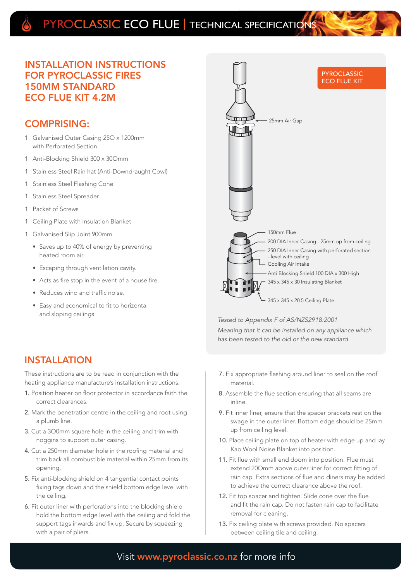# PYROCLASSIC ECO FLUE | TECHNICAL SPECIFICATION

#### INSTALLATION INSTRUCTIONS FOR PYROCLASSIC FIRES 150MM STANDARD ECO FLUE KIT 4.2M

#### COMPRISING:

- 1 Galvanised Outer Casing 25O x 1200mm with Perforated Section
- 1 Anti-Blocking Shield 300 x 30Omm
- 1 Stainless Steel Rain hat (Anti-Downdraught Cowl)
- 1 Stainless Steel Flashing Cone
- 1 Stainless Steel Spreader
- 1 Packet of Screws
- 1 Ceiling Plate with Insulation Blanket
- 1 Galvanised Slip Joint 900mm
	- Saves up to 40% of energy by preventing heated room air
	- Escaping through ventilation cavity.
	- Acts as fire stop in the event of a house fire.
	- Reduces wind and traffic noise.
	- Easy and economical to fit to horizontal and sloping ceilings

## INSTALLATION

These instructions are to be read in conjunction with the heating appliance manufacture's installation instructions.

- 1. Position heater on floor protector in accordance faith the correct clearances.
- 2. Mark the penetration centre in the ceiling and root using a plumb line.
- 3. Cut a 3O0mm square hole in the ceiling and trim with noggins to support outer casing.
- 4. Cut a 250mm diameter hole in the roofing material and trim back all combustible material within 25mm from its opening,
- 5. Fix anti-blocking shield on 4 tangential contact points fixing tags down and the shield bottom edge level with the ceiling.
- 6. Fit outer liner with perforations into the blocking shield hold the bottom edge level with the ceiling and fold the support tags inwards and fix up. Secure by squeezing with a pair of pliers.



Tested to Appendix F of AS/NZS2918:2001

Meaning that it can be installed on any appliance which has been tested to the old or the new standard

- 7. Fix appropriate flashing around liner to seal on the roof material.
- 8. Assemble the flue section ensuring that all seams are inline.
- 9. Fit inner liner, ensure that the spacer brackets rest on the swage in the outer liner. Bottom edge should be 2Smm up from ceiling level.
- 10. Place ceiling plate on top of heater with edge up and lay Kao Wool Noise Blanket into position.
- 11. Fit flue with small end doom into position. Flue must extend 20Omm above outer liner for correct fitting of rain cap. Extra sections of flue and diners may be added to achieve the correct clearance above the roof.
- 12. Fit top spacer and tighten. Slide cone over the flue and fit the rain cap. Do not fasten rain cap to facilitate removal for cleaning.
- 13. Fix ceiling plate with screws provided. No spacers between ceiling tile and ceiling.

### Visit www.pyroclassic.co.nz for more info